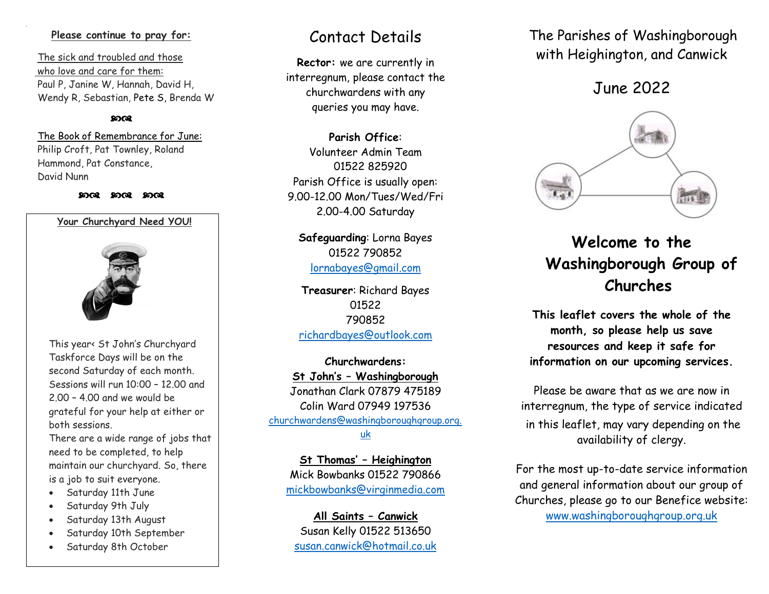### **Please continue to pray for:**

 The sick and troubled and those who love and care for them: Paul P, Janine W, Hannah, David H, Wendy R, Sebastian, Pete S, Brenda W

### രെ

 The Book of Remembrance for June: Philip Croft, Pat Townley, Roland Hammond, Pat Constance, David Nunn

#### 2008 2008 2008



This year< St John's Churchyard Taskforce Days will be on the second Saturday of each month. Sessions will run 10:00 – 12.00 and 2.00 – 4.00 and we would be grateful for your help at either or both sessions.

There are a wide range of jobs that need to be completed, to help maintain our churchyard. So, there is a job to suit everyone.

- Saturday 11th June
- Saturday 9th July
- Saturday 13th August
- Saturday 10th September
- Saturday 8th October

## Contact Details

**Rector:** we are currently in interregnum, please contact the churchwardens with any queries you may have.

**Parish Office**: Volunteer Admin Team 01522 825920 Parish Office is usually open: 9.00-12.00 Mon/Tues/Wed/Fri 2.00-4.00 Saturday

**Safeguarding**: Lorna Bayes 01522 790852 lornabayes@gmail.com

**Treasurer**: Richard Bayes 01522 790852 [richardbayes@outlook.com](mailto:richardbayes@outlook.com)

**Churchwardens: St John's – Washingborough** Jonathan Clark 07879 475189 Colin Ward 07949 197536 [churchwardens@washingboroughgroup.org.](mailto:churchwardens@washingboroughgroup.org.uk) [uk](mailto:churchwardens@washingboroughgroup.org.uk)

**St Thomas' – Heighington** Mick Bowbanks 01522 790866 [mickbowbanks@virginmedia.com](mailto:mickbowbanks@virginmedia.com)

**All Saints – Canwick** Susan Kelly 01522 513650 [susan.canwick@hotmail.co.uk](mailto:susan.canwick@hotmail.co.uk)  The Parishes of Washingborough with Heighington, and Canwick

June 2022



# **Welcome to the Washingborough Group of Churches**

**This leaflet covers the whole of the month, so please help us save resources and keep it safe for information on our upcoming services.** 

Please be aware that as we are now in interregnum, the type of service indicated in this leaflet, may vary depending on the availability of clergy.

For the most up-to-date service information and general information about our group of Churches, please go to our Benefice website: [www.washingboroughgroup.org.uk](http://www.washingboroughgroup.org.uk/)